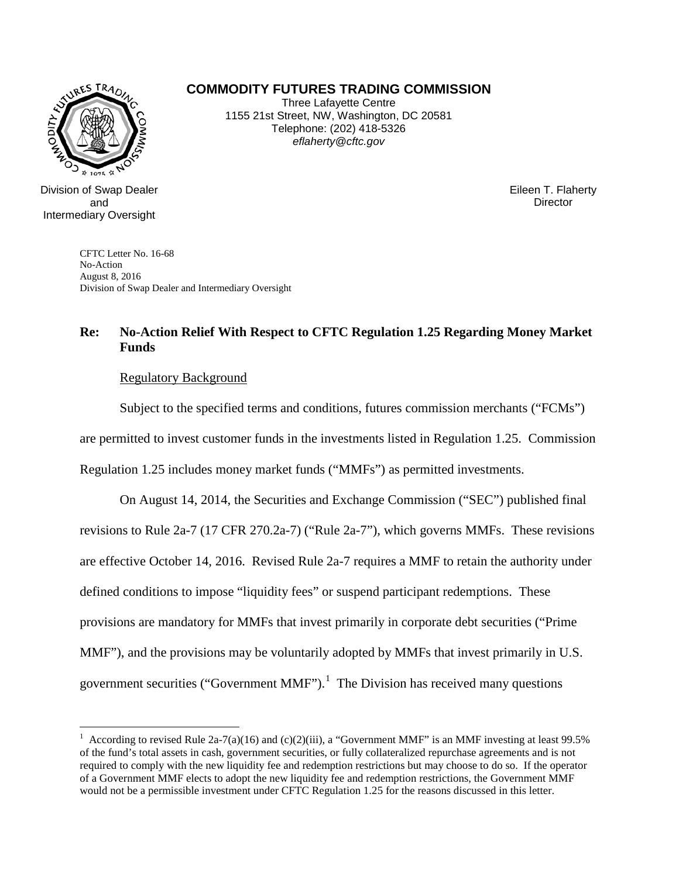## **COMMODITY FUTURES TRADING COMMISSION**



Division of Swap Dealer and Intermediary Oversight

 $\overline{a}$ 

Three Lafayette Centre 1155 21st Street, NW, Washington, DC 20581 Telephone: (202) 418-5326 *eflaherty@cftc.gov*

> Eileen T. Flaherty **Director**

CFTC Letter No. 16-68 No-Action August 8, 2016 Division of Swap Dealer and Intermediary Oversight

## **Re: No-Action Relief With Respect to CFTC Regulation 1.25 Regarding Money Market Funds**

## Regulatory Background

Subject to the specified terms and conditions, futures commission merchants ("FCMs") are permitted to invest customer funds in the investments listed in Regulation 1.25. Commission Regulation 1.25 includes money market funds ("MMFs") as permitted investments.

On August 14, 2014, the Securities and Exchange Commission ("SEC") published final revisions to Rule 2a-7 (17 CFR 270.2a-7) ("Rule 2a-7"), which governs MMFs. These revisions are effective October 14, 2016. Revised Rule 2a-7 requires a MMF to retain the authority under defined conditions to impose "liquidity fees" or suspend participant redemptions. These provisions are mandatory for MMFs that invest primarily in corporate debt securities ("Prime MMF"), and the provisions may be voluntarily adopted by MMFs that invest primarily in U.S. government securities ("Government MMF").<sup>[1](#page-0-0)</sup> The Division has received many questions

<span id="page-0-0"></span><sup>1</sup> According to revised Rule 2a-7(a)(16) and (c)(2)(iii), a "Government MMF" is an MMF investing at least 99.5% of the fund's total assets in cash, government securities, or fully collateralized repurchase agreements and is not required to comply with the new liquidity fee and redemption restrictions but may choose to do so. If the operator of a Government MMF elects to adopt the new liquidity fee and redemption restrictions, the Government MMF would not be a permissible investment under CFTC Regulation 1.25 for the reasons discussed in this letter.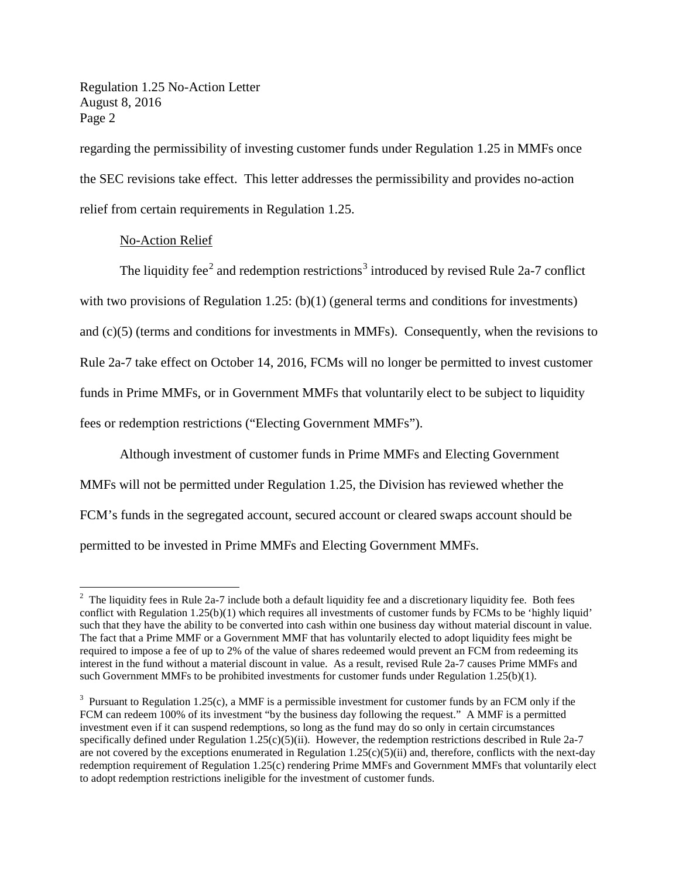Regulation 1.25 No-Action Letter August 8, 2016 Page 2

regarding the permissibility of investing customer funds under Regulation 1.25 in MMFs once the SEC revisions take effect. This letter addresses the permissibility and provides no-action relief from certain requirements in Regulation 1.25.

## No-Action Relief

 $\overline{a}$ 

The liquidity fee<sup>[2](#page-1-0)</sup> and redemption restrictions<sup>[3](#page-1-1)</sup> introduced by revised Rule 2a-7 conflict with two provisions of Regulation 1.25: (b)(1) (general terms and conditions for investments) and (c)(5) (terms and conditions for investments in MMFs). Consequently, when the revisions to Rule 2a-7 take effect on October 14, 2016, FCMs will no longer be permitted to invest customer funds in Prime MMFs, or in Government MMFs that voluntarily elect to be subject to liquidity fees or redemption restrictions ("Electing Government MMFs").

Although investment of customer funds in Prime MMFs and Electing Government MMFs will not be permitted under Regulation 1.25, the Division has reviewed whether the FCM's funds in the segregated account, secured account or cleared swaps account should be permitted to be invested in Prime MMFs and Electing Government MMFs.

<span id="page-1-0"></span> $2$  The liquidity fees in Rule 2a-7 include both a default liquidity fee and a discretionary liquidity fee. Both fees conflict with Regulation 1.25(b)(1) which requires all investments of customer funds by FCMs to be 'highly liquid' such that they have the ability to be converted into cash within one business day without material discount in value. The fact that a Prime MMF or a Government MMF that has voluntarily elected to adopt liquidity fees might be required to impose a fee of up to 2% of the value of shares redeemed would prevent an FCM from redeeming its interest in the fund without a material discount in value. As a result, revised Rule 2a-7 causes Prime MMFs and such Government MMFs to be prohibited investments for customer funds under Regulation 1.25(b)(1).

<span id="page-1-1"></span><sup>&</sup>lt;sup>3</sup> Pursuant to Regulation 1.25(c), a MMF is a permissible investment for customer funds by an FCM only if the FCM can redeem 100% of its investment "by the business day following the request." A MMF is a permitted investment even if it can suspend redemptions, so long as the fund may do so only in certain circumstances specifically defined under Regulation  $1.25(c)(5)(ii)$ . However, the redemption restrictions described in Rule 2a-7 are not covered by the exceptions enumerated in Regulation  $1.25(c)(5)(ii)$  and, therefore, conflicts with the next-day redemption requirement of Regulation 1.25(c) rendering Prime MMFs and Government MMFs that voluntarily elect to adopt redemption restrictions ineligible for the investment of customer funds.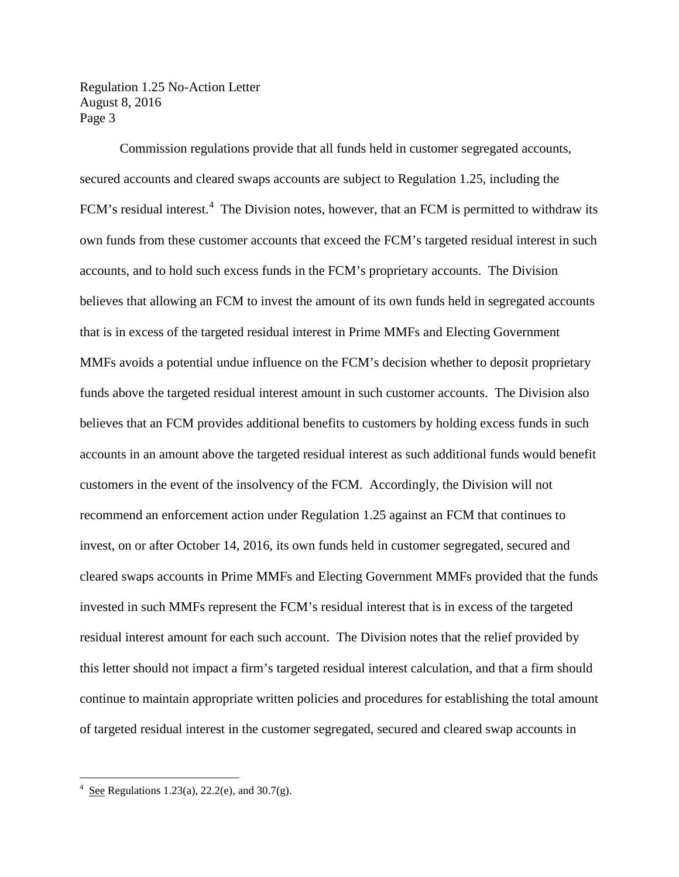Regulation 1.25 No-Action Letter August 8, 2016 Page 3

Commission regulations provide that all funds held in customer segregated accounts, secured accounts and cleared swaps accounts are subject to Regulation 1.25, including the FCM's residual interest.<sup>[4](#page-2-0)</sup> The Division notes, however, that an FCM is permitted to withdraw its own funds from these customer accounts that exceed the FCM's targeted residual interest in such accounts, and to hold such excess funds in the FCM's proprietary accounts. The Division believes that allowing an FCM to invest the amount of its own funds held in segregated accounts that is in excess of the targeted residual interest in Prime MMFs and Electing Government MMFs avoids a potential undue influence on the FCM's decision whether to deposit proprietary funds above the targeted residual interest amount in such customer accounts. The Division also believes that an FCM provides additional benefits to customers by holding excess funds in such accounts in an amount above the targeted residual interest as such additional funds would benefit customers in the event of the insolvency of the FCM. Accordingly, the Division will not recommend an enforcement action under Regulation 1.25 against an FCM that continues to invest, on or after October 14, 2016, its own funds held in customer segregated, secured and cleared swaps accounts in Prime MMFs and Electing Government MMFs provided that the funds invested in such MMFs represent the FCM's residual interest that is in excess of the targeted residual interest amount for each such account. The Division notes that the relief provided by this letter should not impact a firm's targeted residual interest calculation, and that a firm should continue to maintain appropriate written policies and procedures for establishing the total amount of targeted residual interest in the customer segregated, secured and cleared swap accounts in

<span id="page-2-0"></span>See Regulations 1.23(a),  $22.2(e)$ , and  $30.7(g)$ .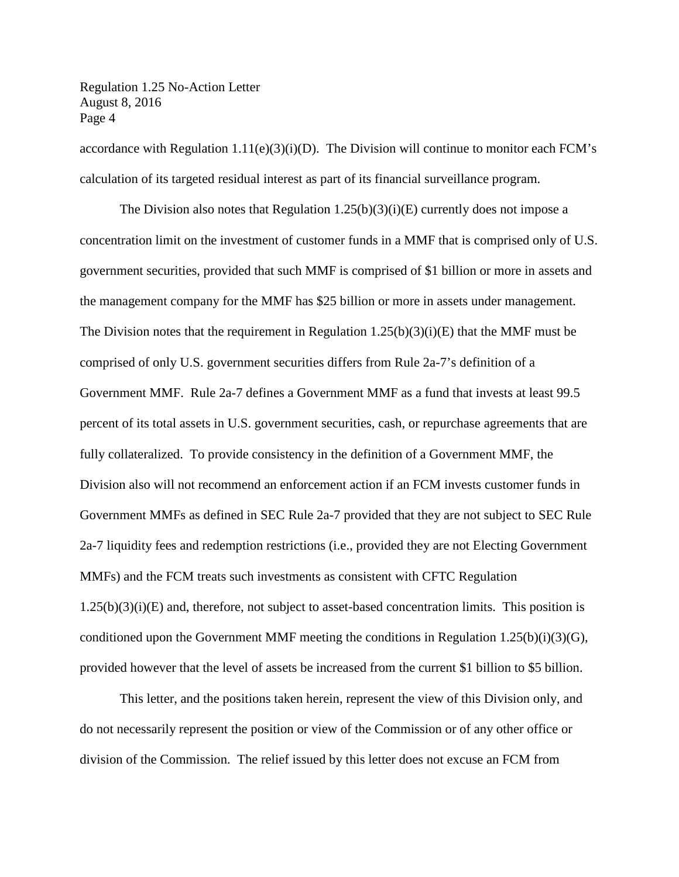Regulation 1.25 No-Action Letter August 8, 2016 Page 4

accordance with Regulation  $1.11(e)(3)(i)(D)$ . The Division will continue to monitor each FCM's calculation of its targeted residual interest as part of its financial surveillance program.

The Division also notes that Regulation  $1.25(b)(3)(i)(E)$  currently does not impose a concentration limit on the investment of customer funds in a MMF that is comprised only of U.S. government securities, provided that such MMF is comprised of \$1 billion or more in assets and the management company for the MMF has \$25 billion or more in assets under management. The Division notes that the requirement in Regulation  $1.25(b)(3)(i)(E)$  that the MMF must be comprised of only U.S. government securities differs from Rule 2a-7's definition of a Government MMF. Rule 2a-7 defines a Government MMF as a fund that invests at least 99.5 percent of its total assets in U.S. government securities, cash, or repurchase agreements that are fully collateralized. To provide consistency in the definition of a Government MMF, the Division also will not recommend an enforcement action if an FCM invests customer funds in Government MMFs as defined in SEC Rule 2a-7 provided that they are not subject to SEC Rule 2a-7 liquidity fees and redemption restrictions (i.e., provided they are not Electing Government MMFs) and the FCM treats such investments as consistent with CFTC Regulation  $1.25(b)(3)(i)(E)$  and, therefore, not subject to asset-based concentration limits. This position is conditioned upon the Government MMF meeting the conditions in Regulation  $1.25(b)(i)(3)(G)$ , provided however that the level of assets be increased from the current \$1 billion to \$5 billion.

This letter, and the positions taken herein, represent the view of this Division only, and do not necessarily represent the position or view of the Commission or of any other office or division of the Commission. The relief issued by this letter does not excuse an FCM from